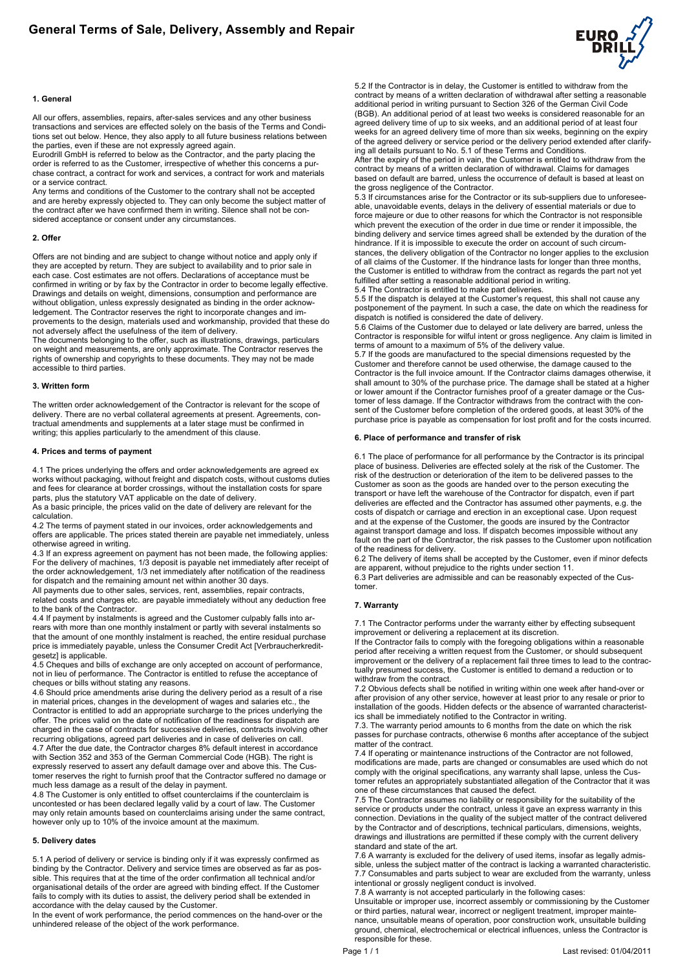

#### **1. General**

All our offers, assemblies, repairs, after-sales services and any other business transactions and services are effected solely on the basis of the Terms and Conditions set out below. Hence, they also apply to all future business relations between the parties, even if these are not expressly agreed again.

Eurodrill GmbH is referred to below as the Contractor, and the party placing the order is referred to as the Customer, irrespective of whether this concerns a purchase contract, a contract for work and services, a contract for work and materials or a service contract.

Any terms and conditions of the Customer to the contrary shall not be accepted and are hereby expressly objected to. They can only become the subject matter of the contract after we have confirmed them in writing. Silence shall not be considered acceptance or consent under any circumstances.

## **2. Offer**

Offers are not binding and are subject to change without notice and apply only if they are accepted by return. They are subject to availability and to prior sale in each case. Cost estimates are not offers. Declarations of acceptance must be confirmed in writing or by fax by the Contractor in order to become legally effective. Drawings and details on weight, dimensions, consumption and performance are without obligation, unless expressly designated as binding in the order acknowledgement. The Contractor reserves the right to incorporate changes and improvements to the design, materials used and workmanship, provided that these do not adversely affect the usefulness of the item of delivery.

The documents belonging to the offer, such as illustrations, drawings, particulars on weight and measurements, are only approximate. The Contractor reserves the rights of ownership and copyrights to these documents. They may not be made accessible to third parties.

#### **3. Written form**

The written order acknowledgement of the Contractor is relevant for the scope of delivery. There are no verbal collateral agreements at present. Agreements, contractual amendments and supplements at a later stage must be confirmed in writing; this applies particularly to the amendment of this clause.

#### **4. Prices and terms of payment**

4.1 The prices underlying the offers and order acknowledgements are agreed ex works without packaging, without freight and dispatch costs, without customs duties and fees for clearance at border crossings, without the installation costs for spare parts, plus the statutory VAT applicable on the date of delivery.

As a basic principle, the prices valid on the date of delivery are relevant for the calculation.

4.2 The terms of payment stated in our invoices, order acknowledgements and offers are applicable. The prices stated therein are payable net immediately, unless otherwise agreed in writing.

4.3 If an express agreement on payment has not been made, the following applies: For the delivery of machines, 1/3 deposit is payable net immediately after receipt of the order acknowledgement, 1/3 net immediately after notification of the readiness for dispatch and the remaining amount net within another 30 days.

All payments due to other sales, services, rent, assemblies, repair contracts, related costs and charges etc. are payable immediately without any deduction free to the bank of the Contractor.

4.4 If payment by instalments is agreed and the Customer culpably falls into arrears with more than one monthly instalment or partly with several instalments so that the amount of one monthly instalment is reached, the entire residual purchase price is immediately payable, unless the Consumer Credit Act [Verbraucherkreditgesetz] is applicable.

4.5 Cheques and bills of exchange are only accepted on account of performance, not in lieu of performance. The Contractor is entitled to refuse the acceptance of cheques or bills without stating any reasons.

4.6 Should price amendments arise during the delivery period as a result of a rise in material prices, changes in the development of wages and salaries etc., the Contractor is entitled to add an appropriate surcharge to the prices underlying the offer. The prices valid on the date of notification of the readiness for dispatch are charged in the case of contracts for successive deliveries, contracts involving other recurring obligations, agreed part deliveries and in case of deliveries on call. 4.7 After the due date, the Contractor charges 8% default interest in accordance with Section 352 and 353 of the German Commercial Code (HGB). The right is expressly reserved to assert any default damage over and above this. The Customer reserves the right to furnish proof that the Contractor suffered no damage or much less damage as a result of the delay in payment.

4.8 The Customer is only entitled to offset counterclaims if the counterclaim is uncontested or has been declared legally valid by a court of law. The Customer may only retain amounts based on counterclaims arising under the same contract, however only up to 10% of the invoice amount at the maximum.

#### **5. Delivery dates**

5.1 A period of delivery or service is binding only if it was expressly confirmed as binding by the Contractor. Delivery and service times are observed as far as possible. This requires that at the time of the order confirmation all technical and/or organisational details of the order are agreed with binding effect. If the Customer fails to comply with its duties to assist, the delivery period shall be extended in accordance with the delay caused by the Customer.

In the event of work performance, the period commences on the hand-over or the unhindered release of the object of the work performance.

5.2 If the Contractor is in delay, the Customer is entitled to withdraw from the contract by means of a written declaration of withdrawal after setting a reasonable additional period in writing pursuant to Section 326 of the German Civil Code (BGB). An additional period of at least two weeks is considered reasonable for an agreed delivery time of up to six weeks, and an additional period of at least four weeks for an agreed delivery time of more than six weeks, beginning on the expiry of the agreed delivery or service period or the delivery period extended after clarifying all details pursuant to No. 5.1 of these Terms and Conditions.

After the expiry of the period in vain, the Customer is entitled to withdraw from the contract by means of a written declaration of withdrawal. Claims for damages based on default are barred, unless the occurrence of default is based at least on the gross negligence of the Contractor.

5.3 If circumstances arise for the Contractor or its sub-suppliers due to unforeseeable, unavoidable events, delays in the delivery of essential materials or due to force majeure or due to other reasons for which the Contractor is not responsible which prevent the execution of the order in due time or render it impossible, the binding delivery and service times agreed shall be extended by the duration of the hindrance. If it is impossible to execute the order on account of such circumstances, the delivery obligation of the Contractor no longer applies to the exclusion of all claims of the Customer. If the hindrance lasts for longer than three months, the Customer is entitled to withdraw from the contract as regards the part not yet fulfilled after setting a reasonable additional period in writing.

5.4 The Contractor is entitled to make part deliveries.

5.5 If the dispatch is delayed at the Customer's request, this shall not cause any postponement of the payment. In such a case, the date on which the readiness for dispatch is notified is considered the date of delivery.

5.6 Claims of the Customer due to delayed or late delivery are barred, unless the Contractor is responsible for wilful intent or gross negligence. Any claim is limited in terms of amount to a maximum of 5% of the delivery value.

5.7 If the goods are manufactured to the special dimensions requested by the Customer and therefore cannot be used otherwise, the damage caused to the Contractor is the full invoice amount. If the Contractor claims damages otherwise, it shall amount to 30% of the purchase price. The damage shall be stated at a higher or lower amount if the Contractor furnishes proof of a greater damage or the Customer of less damage. If the Contractor withdraws from the contract with the consent of the Customer before completion of the ordered goods, at least 30% of the purchase price is payable as compensation for lost profit and for the costs incurred.

#### **6. Place of performance and transfer of risk**

6.1 The place of performance for all performance by the Contractor is its principal place of business. Deliveries are effected solely at the risk of the Customer. The risk of the destruction or deterioration of the item to be delivered passes to the Customer as soon as the goods are handed over to the person executing the transport or have left the warehouse of the Contractor for dispatch, even if part deliveries are effected and the Contractor has assumed other payments, e.g. the costs of dispatch or carriage and erection in an exceptional case. Upon request and at the expense of the Customer, the goods are insured by the Contractor against transport damage and loss. If dispatch becomes impossible without any fault on the part of the Contractor, the risk passes to the Customer upon notification of the readiness for delivery.

6.2 The delivery of items shall be accepted by the Customer, even if minor defects are apparent, without prejudice to the rights under section 11.

6.3 Part deliveries are admissible and can be reasonably expected of the Customer.

#### **7. Warranty**

7.1 The Contractor performs under the warranty either by effecting subsequent improvement or delivering a replacement at its discretion.

If the Contractor fails to comply with the foregoing obligations within a reasonable period after receiving a written request from the Customer, or should subsequent improvement or the delivery of a replacement fail three times to lead to the contractually presumed success, the Customer is entitled to demand a reduction or to withdraw from the contract.

7.2 Obvious defects shall be notified in writing within one week after hand-over or after provision of any other service, however at least prior to any resale or prior to installation of the goods. Hidden defects or the absence of warranted characteristics shall be immediately notified to the Contractor in writing.

7.3. The warranty period amounts to 6 months from the date on which the risk passes for purchase contracts, otherwise 6 months after acceptance of the subject matter of the contract.

7.4 If operating or maintenance instructions of the Contractor are not followed, modifications are made, parts are changed or consumables are used which do not comply with the original specifications, any warranty shall lapse, unless the Customer refutes an appropriately substantiated allegation of the Contractor that it was one of these circumstances that caused the defect.

7.5 The Contractor assumes no liability or responsibility for the suitability of the service or products under the contract, unless it gave an express warranty in this connection. Deviations in the quality of the subject matter of the contract delivered by the Contractor and of descriptions, technical particulars, dimensions, weights, drawings and illustrations are permitted if these comply with the current delivery standard and state of the art.

7.6 A warranty is excluded for the delivery of used items, insofar as legally admissible, unless the subject matter of the contract is lacking a warranted characteristic. 7.7 Consumables and parts subject to wear are excluded from the warranty, unless intentional or grossly negligent conduct is involved.

7.8 A warranty is not accepted particularly in the following cases:

Unsuitable or improper use, incorrect assembly or commissioning by the Customer or third parties, natural wear, incorrect or negligent treatment, improper maintenance, unsuitable means of operation, poor construction work, unsuitable building ground, chemical, electrochemical or electrical influences, unless the Contractor is responsible for these.